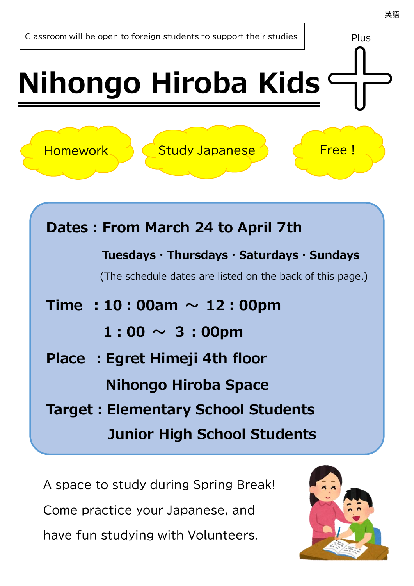# **Nihongo Hiroba Kids**

Homework 1 Study Japanese <mark>(Free!</mark>

| Dates: From March 24 to April 7th                                                                       |  |  |  |  |  |  |  |  |
|---------------------------------------------------------------------------------------------------------|--|--|--|--|--|--|--|--|
| Tuesdays · Thursdays · Saturdays · Sundays<br>(The schedule dates are listed on the back of this page.) |  |  |  |  |  |  |  |  |
| Time : 10 : 00am $\sim$ 12 : 00pm                                                                       |  |  |  |  |  |  |  |  |
| $1:00 \sim 3:00$ pm                                                                                     |  |  |  |  |  |  |  |  |
| Place: Egret Himeji 4th floor                                                                           |  |  |  |  |  |  |  |  |
| Nihongo Hiroba Space                                                                                    |  |  |  |  |  |  |  |  |
| <b>Target: Elementary School Students</b>                                                               |  |  |  |  |  |  |  |  |
| <b>Junior High School Students</b>                                                                      |  |  |  |  |  |  |  |  |

A space to study during Spring Break! Come practice your Japanese, and have fun studying with Volunteers.



Plus